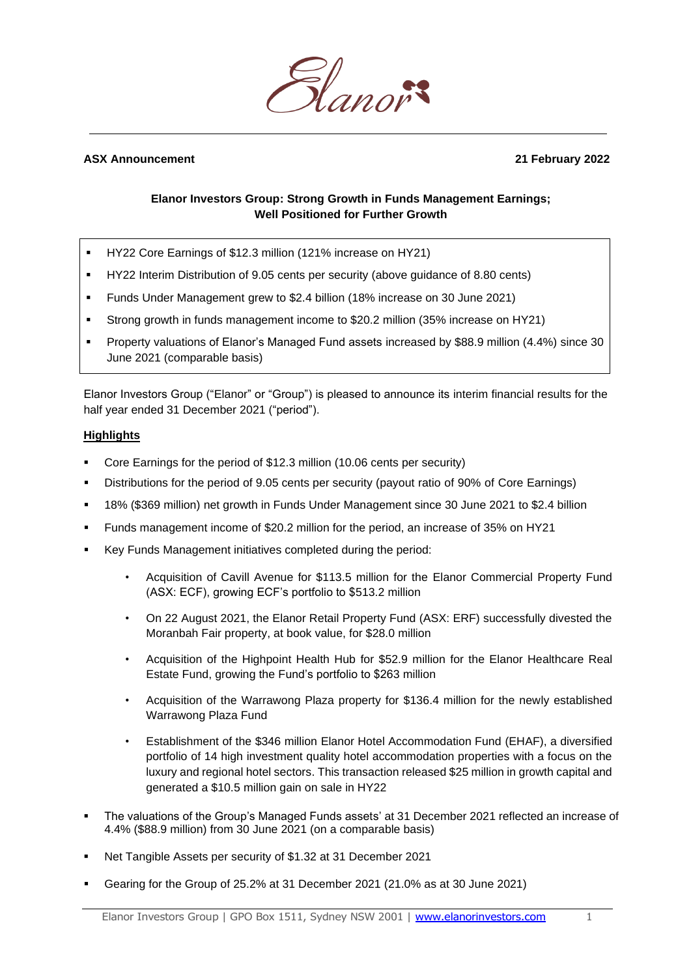

#### **ASX Announcement 21 February 2022**

# **Elanor Investors Group: Strong Growth in Funds Management Earnings; Well Positioned for Further Growth**

- HY22 Core Earnings of \$12.3 million (121% increase on HY21)
- HY22 Interim Distribution of 9.05 cents per security (above guidance of 8.80 cents)
- Funds Under Management grew to \$2.4 billion (18% increase on 30 June 2021)
- Strong growth in funds management income to \$20.2 million (35% increase on HY21)
- Property valuations of Elanor's Managed Fund assets increased by \$88.9 million (4.4%) since 30 June 2021 (comparable basis)

Elanor Investors Group ("Elanor" or "Group") is pleased to announce its interim financial results for the half year ended 31 December 2021 ("period").

#### **Highlights**

- Core Earnings for the period of \$12.3 million (10.06 cents per security)
- Distributions for the period of 9.05 cents per security (payout ratio of 90% of Core Earnings)
- 18% (\$369 million) net growth in Funds Under Management since 30 June 2021 to \$2.4 billion
- Funds management income of \$20.2 million for the period, an increase of 35% on HY21
- Key Funds Management initiatives completed during the period:
	- Acquisition of Cavill Avenue for \$113.5 million for the Elanor Commercial Property Fund (ASX: ECF), growing ECF's portfolio to \$513.2 million
	- On 22 August 2021, the Elanor Retail Property Fund (ASX: ERF) successfully divested the Moranbah Fair property, at book value, for \$28.0 million
	- Acquisition of the Highpoint Health Hub for \$52.9 million for the Elanor Healthcare Real Estate Fund, growing the Fund's portfolio to \$263 million
	- Acquisition of the Warrawong Plaza property for \$136.4 million for the newly established Warrawong Plaza Fund
	- Establishment of the \$346 million Elanor Hotel Accommodation Fund (EHAF), a diversified portfolio of 14 high investment quality hotel accommodation properties with a focus on the luxury and regional hotel sectors. This transaction released \$25 million in growth capital and generated a \$10.5 million gain on sale in HY22
- The valuations of the Group's Managed Funds assets' at 31 December 2021 reflected an increase of 4.4% (\$88.9 million) from 30 June 2021 (on a comparable basis)
- Net Tangible Assets per security of \$1.32 at 31 December 2021
- Gearing for the Group of 25.2% at 31 December 2021 (21.0% as at 30 June 2021)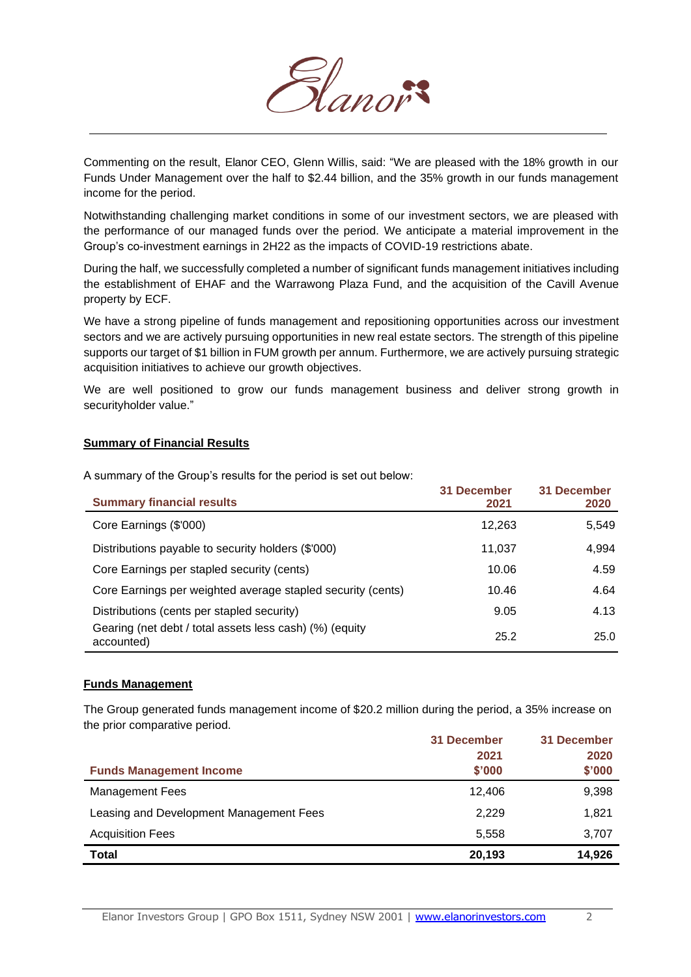

Commenting on the result, Elanor CEO, Glenn Willis, said: "We are pleased with the 18% growth in our Funds Under Management over the half to \$2.44 billion, and the 35% growth in our funds management income for the period.

Notwithstanding challenging market conditions in some of our investment sectors, we are pleased with the performance of our managed funds over the period. We anticipate a material improvement in the Group's co-investment earnings in 2H22 as the impacts of COVID-19 restrictions abate.

During the half, we successfully completed a number of significant funds management initiatives including the establishment of EHAF and the Warrawong Plaza Fund, and the acquisition of the Cavill Avenue property by ECF.

We have a strong pipeline of funds management and repositioning opportunities across our investment sectors and we are actively pursuing opportunities in new real estate sectors. The strength of this pipeline supports our target of \$1 billion in FUM growth per annum. Furthermore, we are actively pursuing strategic acquisition initiatives to achieve our growth objectives.

We are well positioned to grow our funds management business and deliver strong growth in securityholder value."

## **Summary of Financial Results**

| <b>Summary financial results</b>                                      | 31 December<br>2021 | 31 December<br>2020 |
|-----------------------------------------------------------------------|---------------------|---------------------|
| Core Earnings (\$'000)                                                | 12,263              | 5,549               |
| Distributions payable to security holders (\$'000)                    | 11,037              | 4,994               |
| Core Earnings per stapled security (cents)                            | 10.06               | 4.59                |
| Core Earnings per weighted average stapled security (cents)           | 10.46               | 4.64                |
| Distributions (cents per stapled security)                            | 9.05                | 4.13                |
| Gearing (net debt / total assets less cash) (%) (equity<br>accounted) | 25.2                | 25.0                |

A summary of the Group's results for the period is set out below:

## **Funds Management**

The Group generated funds management income of \$20.2 million during the period, a 35% increase on the prior comparative period.

|                                         | 31 December | 31 December |
|-----------------------------------------|-------------|-------------|
|                                         | 2021        | 2020        |
| <b>Funds Management Income</b>          | \$'000      | \$'000      |
| <b>Management Fees</b>                  | 12,406      | 9,398       |
| Leasing and Development Management Fees | 2,229       | 1,821       |
| <b>Acquisition Fees</b>                 | 5,558       | 3,707       |
| <b>Total</b>                            | 20,193      | 14,926      |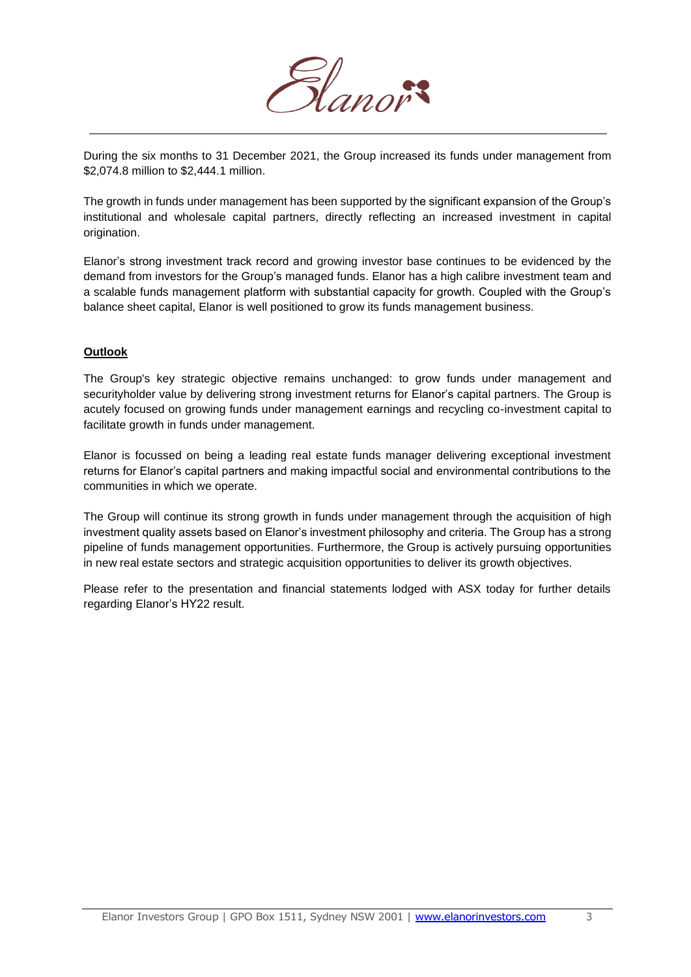

During the six months to 31 December 2021, the Group increased its funds under management from \$2,074.8 million to \$2,444.1 million.

The growth in funds under management has been supported by the significant expansion of the Group's institutional and wholesale capital partners, directly reflecting an increased investment in capital origination.

Elanor's strong investment track record and growing investor base continues to be evidenced by the demand from investors for the Group's managed funds. Elanor has a high calibre investment team and a scalable funds management platform with substantial capacity for growth. Coupled with the Group's balance sheet capital, Elanor is well positioned to grow its funds management business.

# **Outlook**

The Group's key strategic objective remains unchanged: to grow funds under management and securityholder value by delivering strong investment returns for Elanor's capital partners. The Group is acutely focused on growing funds under management earnings and recycling co-investment capital to facilitate growth in funds under management.

Elanor is focussed on being a leading real estate funds manager delivering exceptional investment returns for Elanor's capital partners and making impactful social and environmental contributions to the communities in which we operate.

The Group will continue its strong growth in funds under management through the acquisition of high investment quality assets based on Elanor's investment philosophy and criteria. The Group has a strong pipeline of funds management opportunities. Furthermore, the Group is actively pursuing opportunities in new real estate sectors and strategic acquisition opportunities to deliver its growth objectives.

Please refer to the presentation and financial statements lodged with ASX today for further details regarding Elanor's HY22 result.